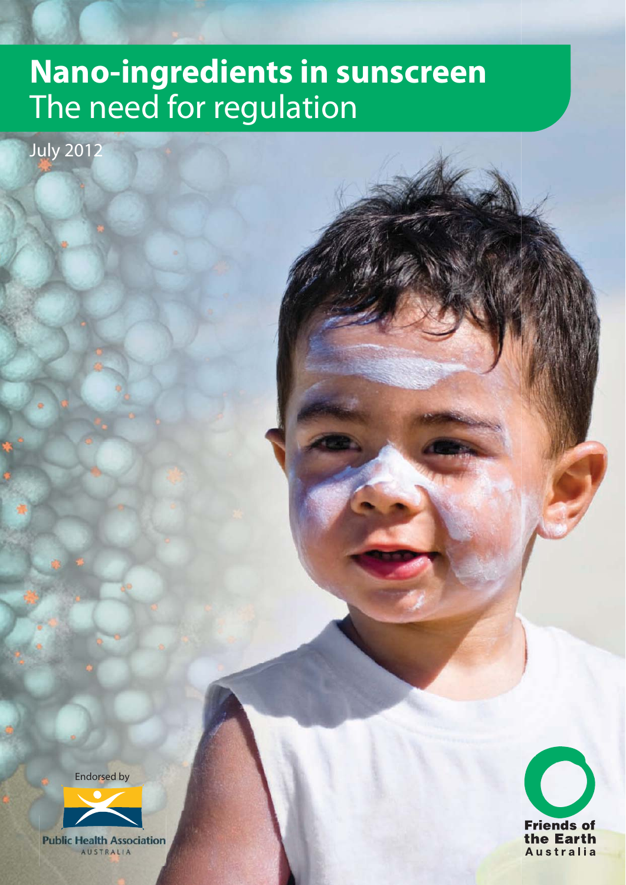# **Nano-ingredients in sunscreen** The need for regulation

July 2012



**Public Health Association** AUSTRALIA

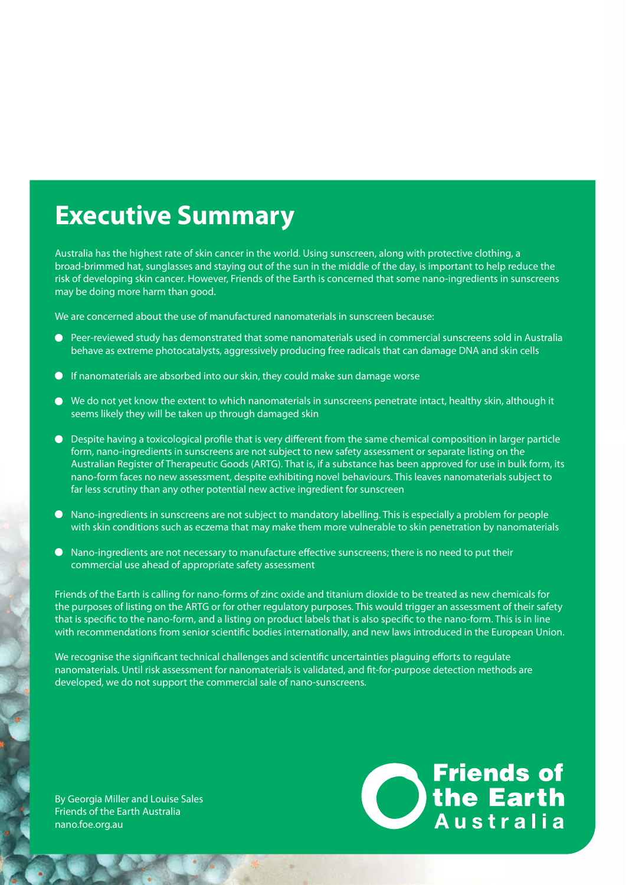## **Executive Summary**

Australia has the highest rate of skin cancer in the world. Using sunscreen, along with protective clothing, a broad-brimmed hat, sunglasses and staying out of the sun in the middle of the day, is important to help reduce the risk of developing skin cancer. However, Friends of the Earth is concerned that some nano-ingredients in sunscreens may be doing more harm than good.

We are concerned about the use of manufactured nanomaterials in sunscreen because:

- Peer-reviewed study has demonstrated that some nanomaterials used in commercial sunscreens sold in Australia behave as extreme photocatalysts, aggressively producing free radicals that can damage DNA and skin cells
- If nanomaterials are absorbed into our skin, they could make sun damage worse
- We do not yet know the extent to which nanomaterials in sunscreens penetrate intact, healthy skin, although it seems likely they will be taken up through damaged skin
- Despite having a toxicological profile that is very different from the same chemical composition in larger particle form, nano-ingredients in sunscreens are not subject to new safety assessment or separate listing on the Australian Register of Therapeutic Goods (ARTG). That is, if a substance has been approved for use in bulk form, its nano-form faces no new assessment, despite exhibiting novel behaviours. This leaves nanomaterials subject to far less scrutiny than any other potential new active ingredient for sunscreen
- Nano-ingredients in sunscreens are not subject to mandatory labelling. This is especially a problem for people with skin conditions such as eczema that may make them more vulnerable to skin penetration by nanomaterials
- Nano-ingredients are not necessary to manufacture effective sunscreens; there is no need to put their commercial use ahead of appropriate safety assessment

Friends of the Earth is calling for nano-forms of zinc oxide and titanium dioxide to be treated as new chemicals for the purposes of listing on the ARTG or for other regulatory purposes. This would trigger an assessment of their safety that is specific to the nano-form, and a listing on product labels that is also specific to the nano-form. This is in line with recommendations from senior scientific bodies internationally, and new laws introduced in the European Union.

We recognise the significant technical challenges and scientific uncertainties plaguing efforts to regulate nanomaterials. Until risk assessment for nanomaterials is validated, and fit-for-purpose detection methods are developed, we do not support the commercial sale of nano-sunscreens.

By Georgia Miller and Louise Sales Friends of the Earth Australia nano.foe.org.au

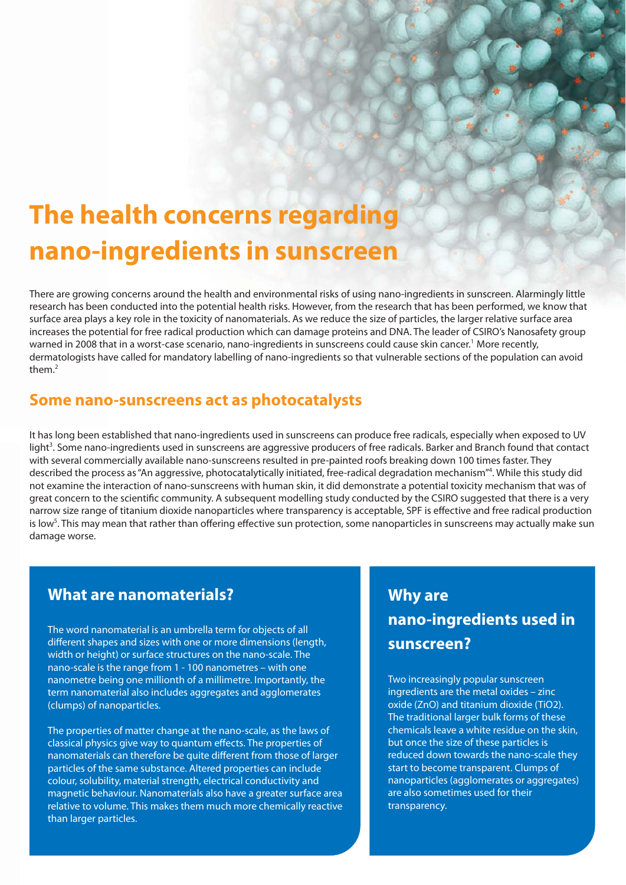## **The health concerns regarding nano-ingredients in sunscreen**

There are growing concerns around the health and environmental risks of using nano-ingredients in sunscreen. Alarmingly little research has been conducted into the potential health risks. However, from the research that has been performed, we know that surface area plays a key role in the toxicity of nanomaterials. As we reduce the size of particles, the larger relative surface area increases the potential for free radical production which can damage proteins and DNA. The leader of CSIRO's Nanosafety group warned in 2008 that in a worst-case scenario, nano-ingredients in sunscreens could cause skin cancer.<sup>1</sup> More recently, dermatologists have called for mandatory labelling of nano-ingredients so that vulnerable sections of the population can avoid them $^2$ 

#### **Some nano-sunscreens act as photocatalysts**

It has long been established that nano-ingredients used in sunscreens can produce free radicals, especially when exposed to UV light<sup>3</sup>. Some nano-ingredients used in sunscreens are aggressive producers of free radicals. Barker and Branch found that contact with several commercially available nano-sunscreens resulted in pre-painted roofs breaking down 100 times faster. They described the process as "An aggressive, photocatalytically initiated, free-radical degradation mechanism"4 . While this study did not examine the interaction of nano-sunscreens with human skin, it did demonstrate a potential toxicity mechanism that was of great concern to the scientific community. A subsequent modelling study conducted by the CSIRO suggested that there is a very narrow size range of titanium dioxide nanoparticles where transparency is acceptable, SPF is effective and free radical production is low<sup>5</sup>. This may mean that rather than offering effective sun protection, some nanoparticles in sunscreens may actually make sun damage worse.

#### **What are nanomaterials?**

The word nanomaterial is an umbrella term for objects of all different shapes and sizes with one or more dimensions (length, width or height) or surface structures on the nano-scale. The nano-scale is the range from 1 - 100 nanometres – with one nanometre being one millionth of a millimetre. Importantly, the term nanomaterial also includes aggregates and agglomerates (clumps) of nanoparticles.

The properties of matter change at the nano-scale, as the laws of classical physics give way to quantum effects. The properties of nanomaterials can therefore be quite different from those of larger particles of the same substance. Altered properties can include colour, solubility, material strength, electrical conductivity and magnetic behaviour. Nanomaterials also have a greater surface area relative to volume. This makes them much more chemically reactive than larger particles.

## **Why are nano-ingredients used in sunscreen?**

Two increasingly popular sunscreen ingredients are the metal oxides – zinc oxide (ZnO) and titanium dioxide (TiO2). The traditional larger bulk forms of these chemicals leave a white residue on the skin, but once the size of these particles is reduced down towards the nano-scale they start to become transparent. Clumps of nanoparticles (agglomerates or aggregates) are also sometimes used for their transparency.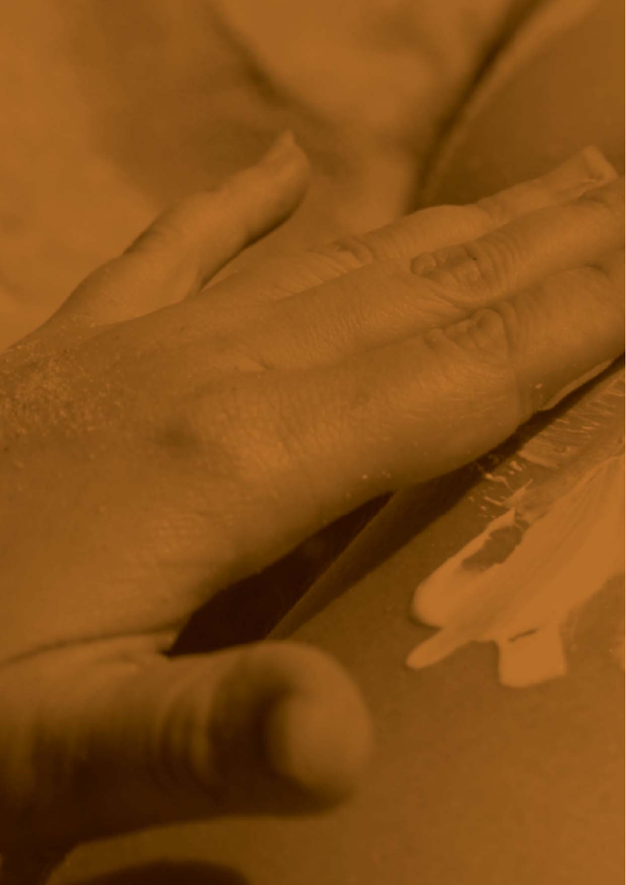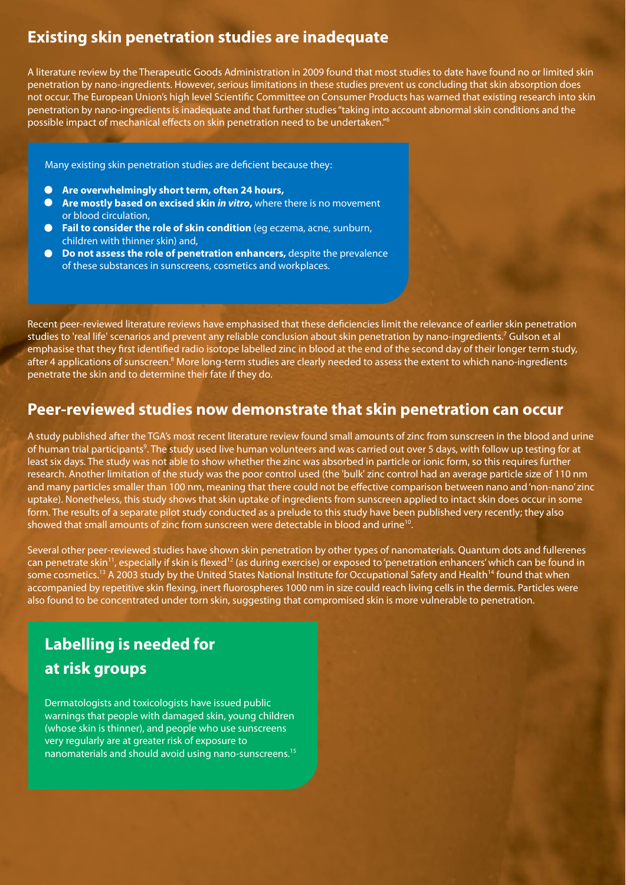### **Existing skin penetration studies are inadequate**

A literature review by the Therapeutic Goods Administration in 2009 found that most studies to date have found no or limited skin penetration by nano-ingredients. However, serious limitations in these studies prevent us concluding that skin absorption does not occur. The European Union's high level Scientific Committee on Consumer Products has warned that existing research into skin penetration by nano-ingredients is inadequate and that further studies "taking into account abnormal skin conditions and the possible impact of mechanical effects on skin penetration need to be undertaken."6

Many existing skin penetration studies are deficient because they:

- **Are overwhelmingly short term, often 24 hours,**
- **Are mostly based on excised skin** *in vitro*, where there is no movement or blood circulation,
- **Fail to consider the role of skin condition** (eg eczema, acne, sunburn, children with thinner skin) and,
- **Do not assess the role of penetration enhancers, despite the prevalence** of these substances in sunscreens, cosmetics and workplaces.

Recent peer-reviewed literature reviews have emphasised that these deficiencies limit the relevance of earlier skin penetration studies to 'real life' scenarios and prevent any reliable conclusion about skin penetration by nano-ingredients.<sup>7</sup> Gulson et al emphasise that they first identified radio isotope labelled zinc in blood at the end of the second day of their longer term study, after 4 applications of sunscreen.<sup>8</sup> More long-term studies are clearly needed to assess the extent to which nano-ingredients penetrate the skin and to determine their fate if they do.

#### **Peer-reviewed studies now demonstrate that skin penetration can occur**

A study published after the TGA's most recent literature review found small amounts of zinc from sunscreen in the blood and urine of human trial participants<sup>9</sup>. The study used live human volunteers and was carried out over 5 days, with follow up testing for at least six days. The study was not able to show whether the zinc was absorbed in particle or ionic form, so this requires further research. Another limitation of the study was the poor control used (the 'bulk' zinc control had an average particle size of 110 nm and many particles smaller than 100 nm, meaning that there could not be effective comparison between nano and 'non-nano' zinc uptake). Nonetheless, this study shows that skin uptake of ingredients from sunscreen applied to intact skin does occur in some form. The results of a separate pilot study conducted as a prelude to this study have been published very recently; they also showed that small amounts of zinc from sunscreen were detectable in blood and urine<sup>10</sup>.

Several other peer-reviewed studies have shown skin penetration by other types of nanomaterials. Quantum dots and fullerenes can penetrate skin<sup>11</sup>, especially if skin is flexed<sup>12</sup> (as during exercise) or exposed to 'penetration enhancers' which can be found in some cosmetics.<sup>13</sup> A 2003 study by the United States National Institute for Occupational Safety and Health<sup>14</sup> found that when accompanied by repetitive skin flexing, inert fluorospheres 1000 nm in size could reach living cells in the dermis. Particles were also found to be concentrated under torn skin, suggesting that compromised skin is more vulnerable to penetration.

## **Labelling is needed for at risk groups**

Dermatologists and toxicologists have issued public warnings that people with damaged skin, young children (whose skin is thinner), and people who use sunscreens very regularly are at greater risk of exposure to nanomaterials and should avoid using nano-sunscreens.<sup>15</sup>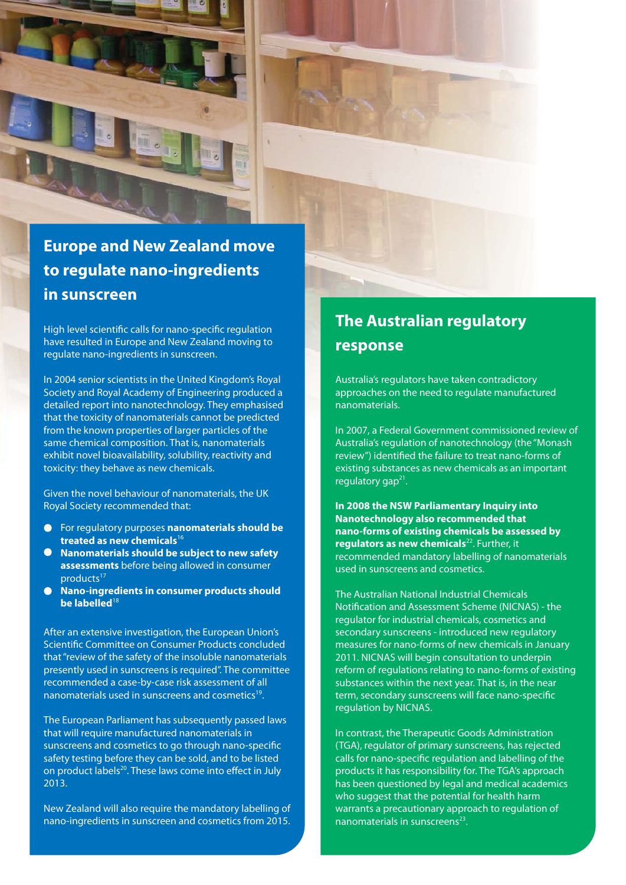



## **Europe and New Zealand move to regulate nano-ingredients in sunscreen**

High level scientific calls for nano-specific regulation have resulted in Europe and New Zealand moving to regulate nano-ingredients in sunscreen.

In 2004 senior scientists in the United Kingdom's Royal Society and Royal Academy of Engineering produced a detailed report into nanotechnology. They emphasised that the toxicity of nanomaterials cannot be predicted from the known properties of larger particles of the same chemical composition. That is, nanomaterials exhibit novel bioavailability, solubility, reactivity and toxicity: they behave as new chemicals.

Given the novel behaviour of nanomaterials, the UK Royal Society recommended that:

- For regulatory purposes **nanomaterials should be treated as new chemicals**<sup>16</sup>
- $\bullet$ **Nanomaterials should be subject to new safety assessments** before being allowed in consumer  $products<sup>17</sup>$
- **Nano-ingredients in consumer products should be labelled**<sup>18</sup>

After an extensive investigation, the European Union's Scientific Committee on Consumer Products concluded that "review of the safety of the insoluble nanomaterials presently used in sunscreens is required". The committee recommended a case-by-case risk assessment of all nanomaterials used in sunscreens and cosmetics<sup>19</sup>.

The European Parliament has subsequently passed laws that will require manufactured nanomaterials in sunscreens and cosmetics to go through nano-specific safety testing before they can be sold, and to be listed on product labels<sup>20</sup>. These laws come into effect in July 2013.

New Zealand will also require the mandatory labelling of nano-ingredients in sunscreen and cosmetics from 2015.

## **The Australian regulatory response**

Australia's regulators have taken contradictory approaches on the need to regulate manufactured nanomaterials.

In 2007, a Federal Government commissioned review of Australia's regulation of nanotechnology (the "Monash review") identified the failure to treat nano-forms of existing substances as new chemicals as an important regulatory gap $21$ .

**In 2008 the NSW Parliamentary Inquiry into Nanotechnology also recommended that nano-forms of existing chemicals be assessed by**  regulators as new chemicals<sup>22</sup>. Further, it recommended mandatory labelling of nanomaterials used in sunscreens and cosmetics.

The Australian National Industrial Chemicals Notification and Assessment Scheme (NICNAS) - the regulator for industrial chemicals, cosmetics and secondary sunscreens - introduced new regulatory measures for nano-forms of new chemicals in January 2011. NICNAS will begin consultation to underpin reform of regulations relating to nano-forms of existing substances within the next year. That is, in the near term, secondary sunscreens will face nano-specific regulation by NICNAS.

In contrast, the Therapeutic Goods Administration (TGA), regulator of primary sunscreens, has rejected calls for nano-specific regulation and labelling of the products it has responsibility for. The TGA's approach has been questioned by legal and medical academics who suggest that the potential for health harm warrants a precautionary approach to regulation of nanomaterials in sunscreens $^{23}$ .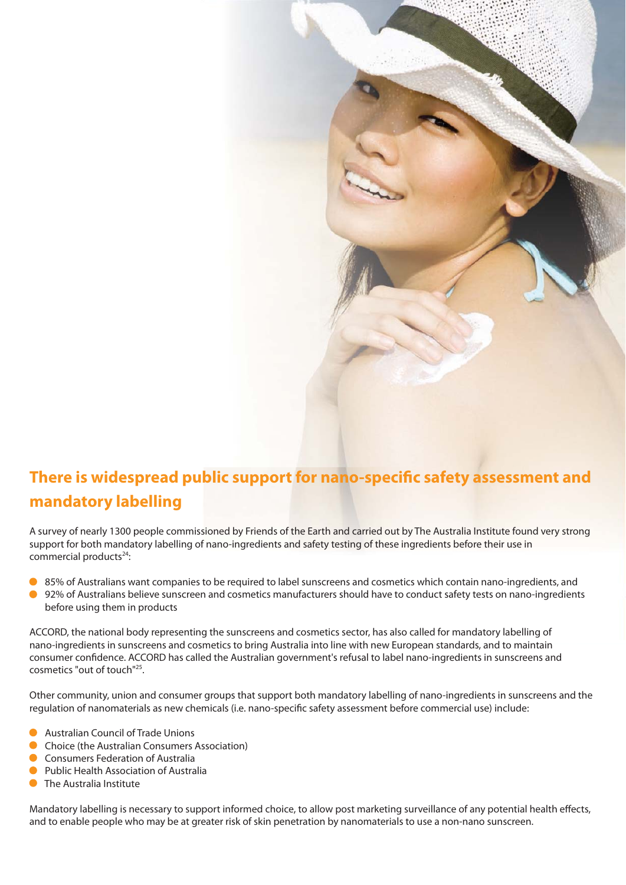## **There is widespread public support for nano-specific safety assessment and mandatory labelling**

A survey of nearly 1300 people commissioned by Friends of the Earth and carried out by The Australia Institute found very strong support for both mandatory labelling of nano-ingredients and safety testing of these ingredients before their use in commercial products $24$ :

 85% of Australians want companies to be required to label sunscreens and cosmetics which contain nano-ingredients, and ● 92% of Australians believe sunscreen and cosmetics manufacturers should have to conduct safety tests on nano-ingredients before using them in products

ACCORD, the national body representing the sunscreens and cosmetics sector, has also called for mandatory labelling of nano-ingredients in sunscreens and cosmetics to bring Australia into line with new European standards, and to maintain consumer confidence. ACCORD has called the Australian government's refusal to label nano-ingredients in sunscreens and cosmetics "out of touch"25.

Other community, union and consumer groups that support both mandatory labelling of nano-ingredients in sunscreens and the regulation of nanomaterials as new chemicals (i.e. nano-specific safety assessment before commercial use) include:

- Australian Council of Trade Unions
- Choice (the Australian Consumers Association)
- Consumers Federation of Australia
- Public Health Association of Australia
- The Australia Institute

Mandatory labelling is necessary to support informed choice, to allow post marketing surveillance of any potential health effects, and to enable people who may be at greater risk of skin penetration by nanomaterials to use a non-nano sunscreen.